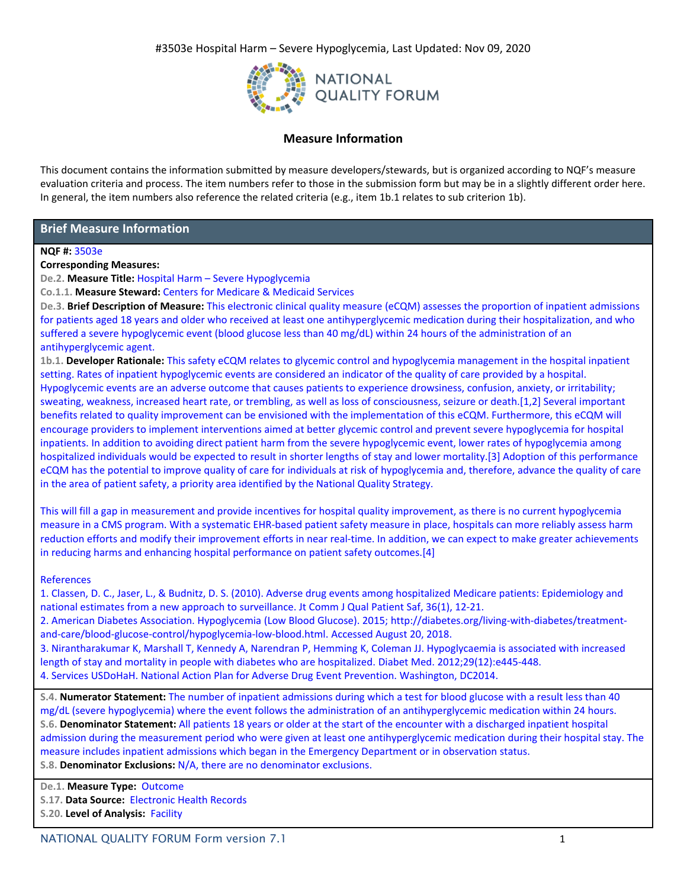

# **Measure Information**

This document contains the information submitted by measure developers/stewards, but is organized according to NQF's measure evaluation criteria and process. The item numbers refer to those in the submission form but may be in a slightly different order here. In general, the item numbers also reference the related criteria (e.g., item 1b.1 relates to sub criterion 1b).

# **Brief Measure Information**

### **NQF #:** 3503e

### **Corresponding Measures:**

**De.2. Measure Title:** Hospital Harm – Severe Hypoglycemia

**Co.1.1. Measure Steward:** Centers for Medicare & Medicaid Services

**De.3. Brief Description of Measure:** This electronic clinical quality measure (eCQM) assesses the proportion of inpatient admissions for patients aged 18 years and older who received at least one antihyperglycemic medication during their hospitalization, and who suffered a severe hypoglycemic event (blood glucose less than 40 mg/dL) within 24 hours of the administration of an antihyperglycemic agent.

**1b.1. Developer Rationale:** This safety eCQM relates to glycemic control and hypoglycemia management in the hospital inpatient setting. Rates of inpatient hypoglycemic events are considered an indicator of the quality of care provided by a hospital. Hypoglycemic events are an adverse outcome that causes patients to experience drowsiness, confusion, anxiety, or irritability; sweating, weakness, increased heart rate, or trembling, as well as loss of consciousness, seizure or death.[1,2] Several important benefits related to quality improvement can be envisioned with the implementation of this eCQM. Furthermore, this eCQM will encourage providers to implement interventions aimed at better glycemic control and prevent severe hypoglycemia for hospital inpatients. In addition to avoiding direct patient harm from the severe hypoglycemic event, lower rates of hypoglycemia among hospitalized individuals would be expected to result in shorter lengths of stay and lower mortality.[3] Adoption of this performance eCQM has the potential to improve quality of care for individuals at risk of hypoglycemia and, therefore, advance the quality of care in the area of patient safety, a priority area identified by the National Quality Strategy.

This will fill a gap in measurement and provide incentives for hospital quality improvement, as there is no current hypoglycemia measure in a CMS program. With a systematic EHR-based patient safety measure in place, hospitals can more reliably assess harm reduction efforts and modify their improvement efforts in near real-time. In addition, we can expect to make greater achievements in reducing harms and enhancing hospital performance on patient safety outcomes.[4]

# References

1. Classen, D. C., Jaser, L., & Budnitz, D. S. (2010). Adverse drug events among hospitalized Medicare patients: Epidemiology and national estimates from a new approach to surveillance. Jt Comm J Qual Patient Saf, 36(1), 12-21.

2. American Diabetes Association. Hypoglycemia (Low Blood Glucose). 2015; http://diabetes.org/living-with-diabetes/treatmentand-care/blood-glucose-control/hypoglycemia-low-blood.html. Accessed August 20, 2018.

3. Nirantharakumar K, Marshall T, Kennedy A, Narendran P, Hemming K, Coleman JJ. Hypoglycaemia is associated with increased length of stay and mortality in people with diabetes who are hospitalized. Diabet Med. 2012;29(12):e445-448.

4. Services USDoHaH. National Action Plan for Adverse Drug Event Prevention. Washington, DC2014.

**S.4. Numerator Statement:** The number of inpatient admissions during which a test for blood glucose with a result less than 40 mg/dL (severe hypoglycemia) where the event follows the administration of an antihyperglycemic medication within 24 hours. **S.6. Denominator Statement:** All patients 18 years or older at the start of the encounter with a discharged inpatient hospital admission during the measurement period who were given at least one antihyperglycemic medication during their hospital stay. The measure includes inpatient admissions which began in the Emergency Department or in observation status. **S.8. Denominator Exclusions:** N/A, there are no denominator exclusions.

**De.1. Measure Type:** Outcome

**S.17. Data Source:** Electronic Health Records

**S.20. Level of Analysis:** Facility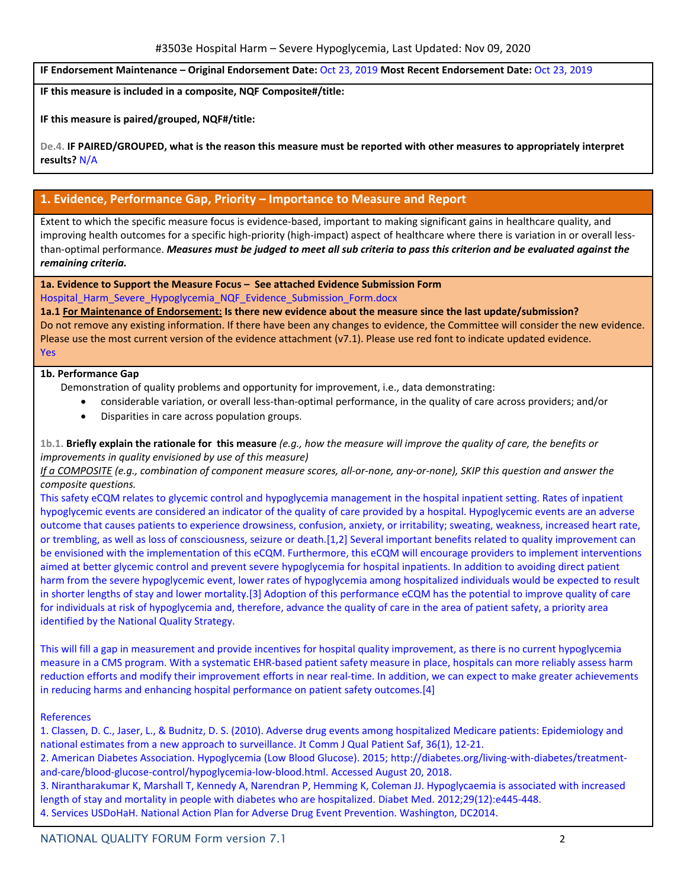**IF Endorsement Maintenance – Original Endorsement Date:** Oct 23, 2019 **Most Recent Endorsement Date:** Oct 23, 2019

**IF this measure is included in a composite, NQF Composite#/title:**

**IF this measure is paired/grouped, NQF#/title:**

De.4. IF PAIRED/GROUPED, what is the reason this measure must be reported with other measures to appropriately interpret **results?** N/A

# **1. Evidence, Performance Gap, Priority – Importance to Measure and Report**

Extent to which the specific measure focus is evidence-based, important to making significant gains in healthcare quality, and improving health outcomes for a specific high-priority (high-impact) aspect of healthcare where there is variation in or overall lessthan-optimal performance. Measures must be judged to meet all sub criteria to pass this criterion and be evaluated against the *remaining criteria.*

**1a. Evidence to Support the Measure Focus – See attached Evidence Submission Form** Hospital Harm Severe Hypoglycemia NQF Evidence Submission Form.docx

**1a.1 For Maintenance of Endorsement: Is there new evidence about the measure since the last update/submission?**  Do not remove any existing information. If there have been any changes to evidence, the Committee will consider the new evidence. Please use the most current version of the evidence attachment (v7.1). Please use red font to indicate updated evidence.

#### Yes

### **1b. Performance Gap**

Demonstration of quality problems and opportunity for improvement, i.e., data demonstrating:

- considerable variation, or overall less-than-optimal performance, in the quality of care across providers; and/or
	- Disparities in care across population groups.

# 1b.1. Briefly explain the rationale for this measure  $(e.g., how the measure will improve the quality of care, the benefits or$ *improvements in quality envisioned by use of this measure)*

If a COMPOSITE (e.g., combination of component measure scores, all-or-none, any-or-none), SKIP this question and answer the *composite questions.*

This safety eCQM relates to glycemic control and hypoglycemia management in the hospital inpatient setting. Rates of inpatient hypoglycemic events are considered an indicator of the quality of care provided by a hospital. Hypoglycemic events are an adverse outcome that causes patients to experience drowsiness, confusion, anxiety, or irritability; sweating, weakness, increased heart rate, or trembling, as well as loss of consciousness, seizure or death.[1,2] Several important benefits related to quality improvement can be envisioned with the implementation of this eCQM. Furthermore, this eCQM will encourage providers to implement interventions aimed at better glycemic control and prevent severe hypoglycemia for hospital inpatients. In addition to avoiding direct patient harm from the severe hypoglycemic event, lower rates of hypoglycemia among hospitalized individuals would be expected to result in shorter lengths of stay and lower mortality.[3] Adoption of this performance eCQM has the potential to improve quality of care for individuals at risk of hypoglycemia and, therefore, advance the quality of care in the area of patient safety, a priority area identified by the National Quality Strategy.

This will fill a gap in measurement and provide incentives for hospital quality improvement, as there is no current hypoglycemia measure in a CMS program. With a systematic EHR-based patient safety measure in place, hospitals can more reliably assess harm reduction efforts and modify their improvement efforts in near real-time. In addition, we can expect to make greater achievements in reducing harms and enhancing hospital performance on patient safety outcomes.[4]

#### References

1. Classen, D. C., Jaser, L., & Budnitz, D. S. (2010). Adverse drug events among hospitalized Medicare patients: Epidemiology and national estimates from a new approach to surveillance. Jt Comm J Qual Patient Saf, 36(1), 12-21.

2. American Diabetes Association. Hypoglycemia (Low Blood Glucose). 2015; http://diabetes.org/living-with-diabetes/treatmentand-care/blood-glucose-control/hypoglycemia-low-blood.html. Accessed August 20, 2018.

3. Nirantharakumar K, Marshall T, Kennedy A, Narendran P, Hemming K, Coleman JJ. Hypoglycaemia is associated with increased length of stay and mortality in people with diabetes who are hospitalized. Diabet Med. 2012;29(12):e445-448. 4. Services USDoHaH. National Action Plan for Adverse Drug Event Prevention. Washington, DC2014.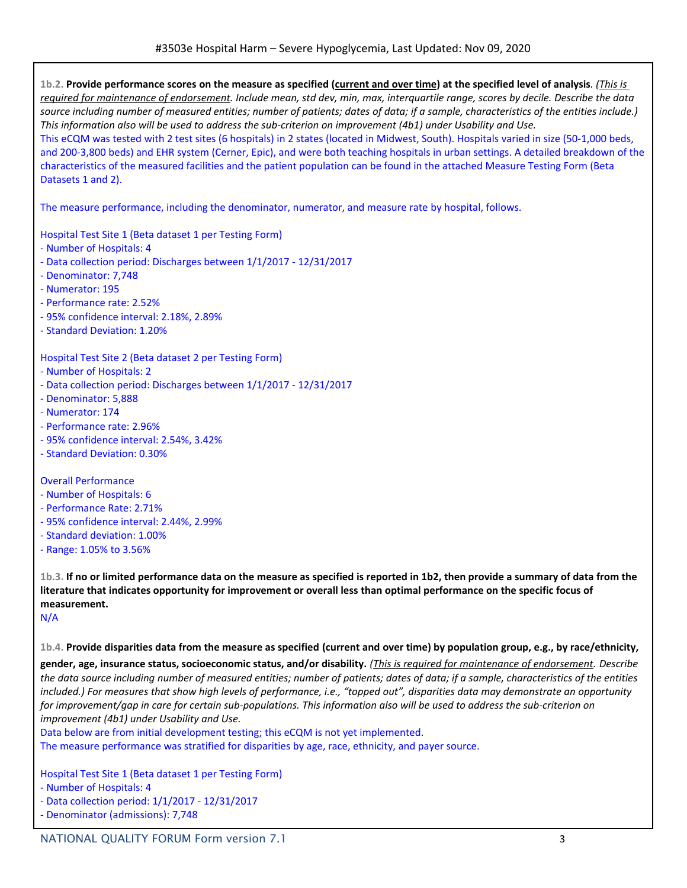1b.2. Provide performance scores on the measure as specified (current and over time) at the specified level of analysis. (This is required for maintenance of endorsement. Include mean, std dev, min, max, interquartile range, scores by decile. Describe the data source including number of measured entities; number of patients; dates of data; if a sample, characteristics of the entities include.) This information also will be used to address the sub-criterion on improvement (4b1) under Usability and Use. This eCQM was tested with 2 test sites (6 hospitals) in 2 states (located in Midwest, South). Hospitals varied in size (50-1,000 beds, and 200-3,800 beds) and EHR system (Cerner, Epic), and were both teaching hospitals in urban settings. A detailed breakdown of the characteristics of the measured facilities and the patient population can be found in the attached Measure Testing Form (Beta Datasets 1 and 2).

The measure performance, including the denominator, numerator, and measure rate by hospital, follows.

Hospital Test Site 1 (Beta dataset 1 per Testing Form)

- Number of Hospitals: 4
- Data collection period: Discharges between 1/1/2017 12/31/2017
- Denominator: 7,748
- Numerator: 195
- Performance rate: 2.52%
- 95% confidence interval: 2.18%, 2.89%
- Standard Deviation: 1.20%

Hospital Test Site 2 (Beta dataset 2 per Testing Form)

- Number of Hospitals: 2
- Data collection period: Discharges between 1/1/2017 12/31/2017
- Denominator: 5,888
- Numerator: 174
- Performance rate: 2.96%
- 95% confidence interval: 2.54%, 3.42%
- Standard Deviation: 0.30%

Overall Performance

- Number of Hospitals: 6
- Performance Rate: 2.71%
- 95% confidence interval: 2.44%, 2.99%
- Standard deviation: 1.00%
- Range: 1.05% to 3.56%

1b.3. If no or limited performance data on the measure as specified is reported in 1b2, then provide a summary of data from the literature that indicates opportunity for improvement or overall less than optimal performance on the specific focus of **measurement.**

N/A

1b.4. Provide disparities data from the measure as specified (current and over time) by population group, e.g., by race/ethnicity,

gender, age, insurance status, socioeconomic status, and/or disability. (This is required for maintenance of endorsement. Describe the data source including number of measured entities; number of patients; dates of data; if a sample, characteristics of the entities included.) For measures that show high levels of performance, i.e., "topped out", disparities data may demonstrate an opportunity for improvement/gap in care for certain sub-populations. This information also will be used to address the sub-criterion on *improvement (4b1) under Usability and Use.*

Data below are from initial development testing; this eCQM is not yet implemented.

The measure performance was stratified for disparities by age, race, ethnicity, and payer source.

Hospital Test Site 1 (Beta dataset 1 per Testing Form)

- Number of Hospitals: 4
- Data collection period: 1/1/2017 12/31/2017
- Denominator (admissions): 7,748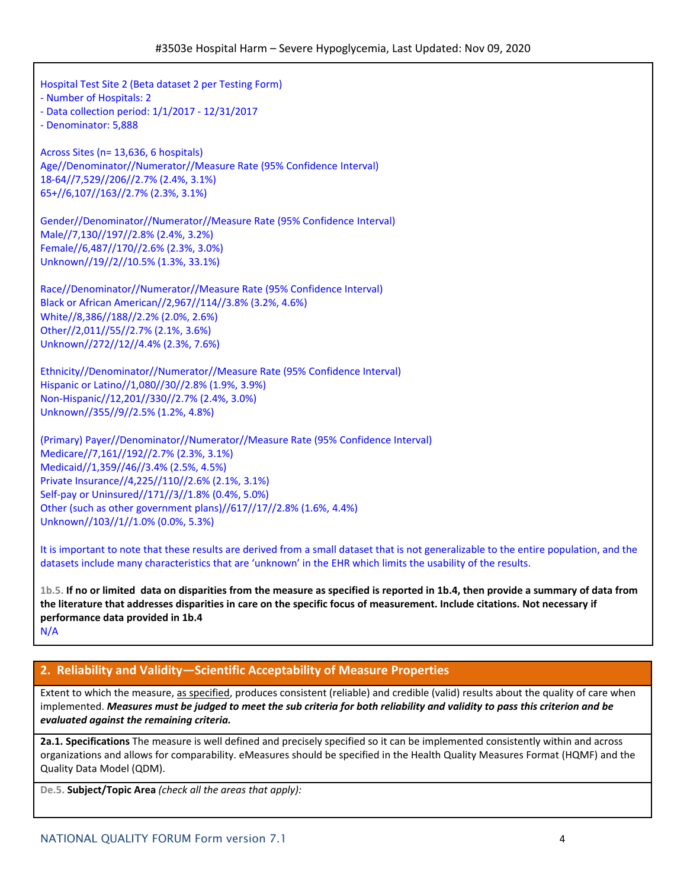Hospital Test Site 2 (Beta dataset 2 per Testing Form) - Number of Hospitals: 2 - Data collection period: 1/1/2017 - 12/31/2017 - Denominator: 5,888 Across Sites (n= 13,636, 6 hospitals) Age//Denominator//Numerator//Measure Rate (95% Confidence Interval) 18-64//7,529//206//2.7% (2.4%, 3.1%) 65+//6,107//163//2.7% (2.3%, 3.1%) Gender//Denominator//Numerator//Measure Rate (95% Confidence Interval) Male//7,130//197//2.8% (2.4%, 3.2%) Female//6,487//170//2.6% (2.3%, 3.0%) Unknown//19//2//10.5% (1.3%, 33.1%) Race//Denominator//Numerator//Measure Rate (95% Confidence Interval) Black or African American//2,967//114//3.8% (3.2%, 4.6%) White//8,386//188//2.2% (2.0%, 2.6%) Other//2,011//55//2.7% (2.1%, 3.6%) Unknown//272//12//4.4% (2.3%, 7.6%) Ethnicity//Denominator//Numerator//Measure Rate (95% Confidence Interval) Hispanic or Latino//1,080//30//2.8% (1.9%, 3.9%) Non-Hispanic//12,201//330//2.7% (2.4%, 3.0%) Unknown//355//9//2.5% (1.2%, 4.8%) (Primary) Payer//Denominator//Numerator//Measure Rate (95% Confidence Interval) Medicare//7,161//192//2.7% (2.3%, 3.1%) Medicaid//1,359//46//3.4% (2.5%, 4.5%) Private Insurance//4,225//110//2.6% (2.1%, 3.1%) Self-pay or Uninsured//171//3//1.8% (0.4%, 5.0%) Other (such as other government plans)//617//17//2.8% (1.6%, 4.4%) Unknown//103//1//1.0% (0.0%, 5.3%) It is important to note that these results are derived from a small dataset that is not generalizable to the entire population, and the datasets include many characteristics that are 'unknown' in the EHR which limits the usability of the results. 1b.5. If no or limited data on disparities from the measure as specified is reported in 1b.4, then provide a summary of data from

the literature that addresses disparities in care on the specific focus of measurement. Include citations. Not necessary if **performance data provided in 1b.4** N/A

# **2. Reliability and Validity—Scientific Acceptability of Measure Properties**

Extent to which the measure, as specified, produces consistent (reliable) and credible (valid) results about the quality of care when implemented. Measures must be judged to meet the sub criteria for both reliability and validity to pass this criterion and be *evaluated against the remaining criteria.*

**2a.1. Specifications** The measure is well defined and precisely specified so it can be implemented consistently within and across organizations and allows for comparability. eMeasures should be specified in the Health Quality Measures Format (HQMF) and the Quality Data Model (QDM).

**De.5. Subject/Topic Area** *(check all the areas that apply):*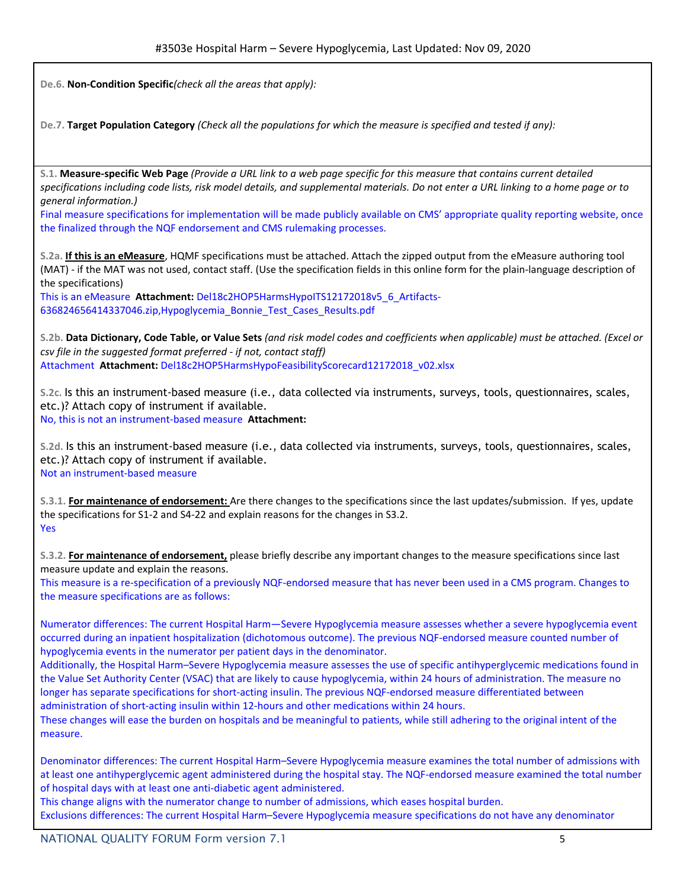**De.6. Non-Condition Specific***(check all the areas that apply):*

De.7. Target Population Category (Check all the populations for which the measure is specified and tested if any):

S.1. Measure-specific Web Page (Provide a URL link to a web page specific for this measure that contains current detailed specifications including code lists, risk model details, and supplemental materials. Do not enter a URL linking to a home page or to *general information.)*

Final measure specifications for implementation will be made publicly available on CMS' appropriate quality reporting website, once the finalized through the NQF endorsement and CMS rulemaking processes.

**S.2a. If this is an eMeasure**, HQMF specifications must be attached. Attach the zipped output from the eMeasure authoring tool (MAT) - if the MAT was not used, contact staff. (Use the specification fields in this online form for the plain-language description of the specifications)

This is an eMeasure **Attachment:** Del18c2HOP5HarmsHypoITS12172018v5\_6\_Artifacts-636824656414337046.zip,Hypoglycemia\_Bonnie\_Test\_Cases\_Results.pdf

S.2b. Data Dictionary, Code Table, or Value Sets (and risk model codes and coefficients when applicable) must be attached. (Excel or *csv file in the suggested format preferred - if not, contact staff)* Attachment **Attachment:** Del18c2HOP5HarmsHypoFeasibilityScorecard12172018\_v02.xlsx

**S.2c.** Is this an instrument-based measure (i.e., data collected via instruments, surveys, tools, questionnaires, scales, etc.)? Attach copy of instrument if available.

No, this is not an instrument-based measure **Attachment:**

**S.2d.** Is this an instrument-based measure (i.e., data collected via instruments, surveys, tools, questionnaires, scales, etc.)? Attach copy of instrument if available. Not an instrument-based measure

**S.3.1. For maintenance of endorsement:** Are there changes to the specifications since the last updates/submission. If yes, update the specifications for S1-2 and S4-22 and explain reasons for the changes in S3.2. Yes

**S.3.2. For maintenance of endorsement,** please briefly describe any important changes to the measure specifications since last measure update and explain the reasons.

This measure is a re-specification of a previously NQF-endorsed measure that has never been used in a CMS program. Changes to the measure specifications are as follows:

Numerator differences: The current Hospital Harm—Severe Hypoglycemia measure assesses whether a severe hypoglycemia event occurred during an inpatient hospitalization (dichotomous outcome). The previous NQF-endorsed measure counted number of hypoglycemia events in the numerator per patient days in the denominator.

Additionally, the Hospital Harm–Severe Hypoglycemia measure assesses the use of specific antihyperglycemic medications found in the Value Set Authority Center (VSAC) that are likely to cause hypoglycemia, within 24 hours of administration. The measure no longer has separate specifications for short-acting insulin. The previous NQF-endorsed measure differentiated between administration of short-acting insulin within 12-hours and other medications within 24 hours. These changes will ease the burden on hospitals and be meaningful to patients, while still adhering to the original intent of the

measure.

Denominator differences: The current Hospital Harm–Severe Hypoglycemia measure examines the total number of admissions with at least one antihyperglycemic agent administered during the hospital stay. The NQF-endorsed measure examined the total number of hospital days with at least one anti-diabetic agent administered.

This change aligns with the numerator change to number of admissions, which eases hospital burden. Exclusions differences: The current Hospital Harm–Severe Hypoglycemia measure specifications do not have any denominator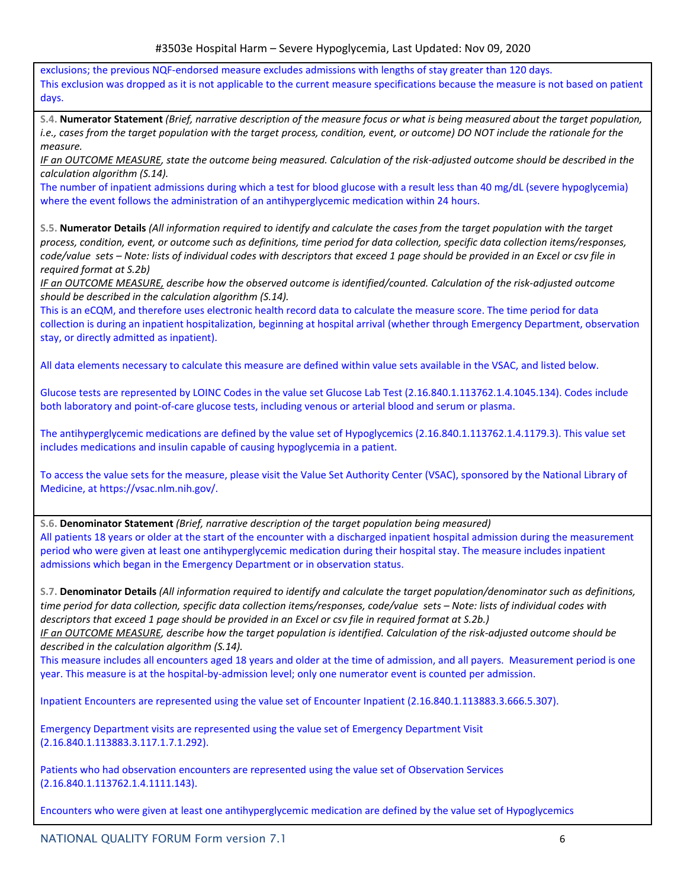exclusions; the previous NQF-endorsed measure excludes admissions with lengths of stay greater than 120 days. This exclusion was dropped as it is not applicable to the current measure specifications because the measure is not based on patient days.

S.4. Numerator Statement (Brief, narrative description of the measure focus or what is being measured about the target population, i.e., cases from the target population with the target process, condition, event, or outcome) DO NOT include the rationale for the *measure.*

IF an OUTCOME MEASURE, state the outcome being measured. Calculation of the risk-adjusted outcome should be described in the *calculation algorithm (S.14).*

The number of inpatient admissions during which a test for blood glucose with a result less than 40 mg/dL (severe hypoglycemia) where the event follows the administration of an antihyperglycemic medication within 24 hours.

S.5. Numerator Details (All information required to identify and calculate the cases from the target population with the target process, condition, event, or outcome such as definitions, time period for data collection, specific data collection items/responses, code/value sets - Note: lists of individual codes with descriptors that exceed 1 page should be provided in an Excel or csv file in *required format at S.2b)*

IF an OUTCOME MEASURE, describe how the observed outcome is identified/counted. Calculation of the risk-adjusted outcome *should be described in the calculation algorithm (S.14).*

This is an eCQM, and therefore uses electronic health record data to calculate the measure score. The time period for data collection is during an inpatient hospitalization, beginning at hospital arrival (whether through Emergency Department, observation stay, or directly admitted as inpatient).

All data elements necessary to calculate this measure are defined within value sets available in the VSAC, and listed below.

Glucose tests are represented by LOINC Codes in the value set Glucose Lab Test (2.16.840.1.113762.1.4.1045.134). Codes include both laboratory and point-of-care glucose tests, including venous or arterial blood and serum or plasma.

The antihyperglycemic medications are defined by the value set of Hypoglycemics (2.16.840.1.113762.1.4.1179.3). This value set includes medications and insulin capable of causing hypoglycemia in a patient.

To access the value sets for the measure, please visit the Value Set Authority Center (VSAC), sponsored by the National Library of Medicine, at https://vsac.nlm.nih.gov/.

**S.6. Denominator Statement** *(Brief, narrative description of the target population being measured)* All patients 18 years or older at the start of the encounter with a discharged inpatient hospital admission during the measurement period who were given at least one antihyperglycemic medication during their hospital stay. The measure includes inpatient admissions which began in the Emergency Department or in observation status.

S.7. Denominator Details (All information required to identify and calculate the target population/denominator such as definitions, time period for data collection, specific data collection items/responses, code/value sets - Note: lists of individual codes with descriptors that exceed 1 page should be provided in an Excel or csv file in required format at S.2b.)

IF an OUTCOME MEASURE, describe how the target population is identified. Calculation of the risk-adjusted outcome should be *described in the calculation algorithm (S.14).*

This measure includes all encounters aged 18 years and older at the time of admission, and all payers. Measurement period is one year. This measure is at the hospital-by-admission level; only one numerator event is counted per admission.

Inpatient Encounters are represented using the value set of Encounter Inpatient (2.16.840.1.113883.3.666.5.307).

Emergency Department visits are represented using the value set of Emergency Department Visit (2.16.840.1.113883.3.117.1.7.1.292).

Patients who had observation encounters are represented using the value set of Observation Services (2.16.840.1.113762.1.4.1111.143).

Encounters who were given at least one antihyperglycemic medication are defined by the value set of Hypoglycemics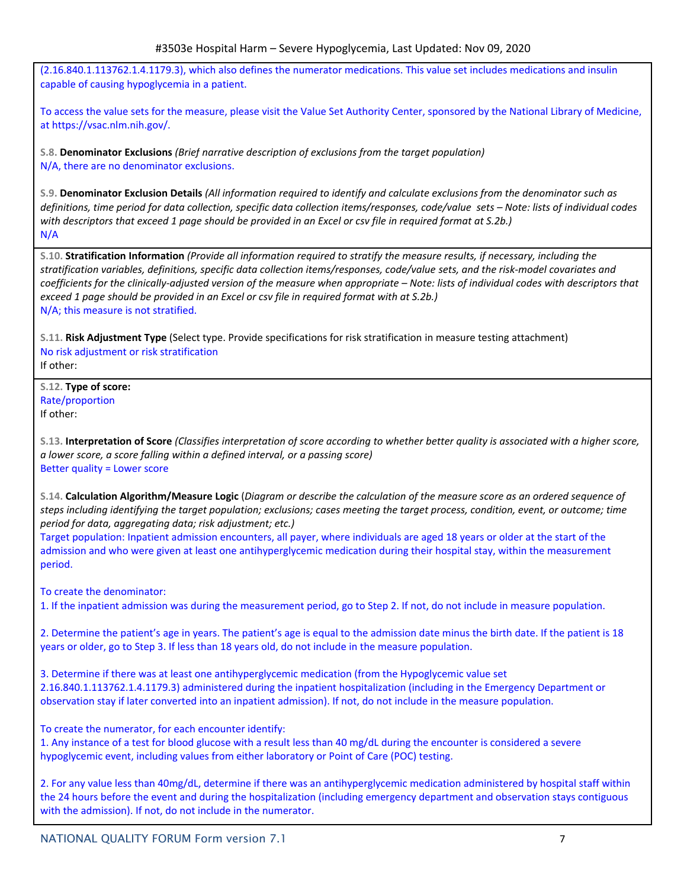(2.16.840.1.113762.1.4.1179.3), which also defines the numerator medications. This value set includes medications and insulin capable of causing hypoglycemia in a patient.

To access the value sets for the measure, please visit the Value Set Authority Center, sponsored by the National Library of Medicine, at https://vsac.nlm.nih.gov/.

**S.8. Denominator Exclusions** *(Brief narrative description of exclusions from the target population)* N/A, there are no denominator exclusions.

S.9. Denominator Exclusion Details (All information required to identify and calculate exclusions from the denominator such as definitions, time period for data collection, specific data collection items/responses, code/value sets - Note: lists of individual codes with descriptors that exceed 1 page should be provided in an Excel or csv file in required format at S.2b.) N/A

S.10. Stratification Information (Provide all information required to stratify the measure results, if necessary, including the stratification variables, definitions, specific data collection items/responses, code/value sets, and the risk-model covariates and coefficients for the clinically-adjusted version of the measure when appropriate – Note: lists of individual codes with descriptors that *exceed 1 page should be provided in an Excel or csv file in required format with at S.2b.)* N/A; this measure is not stratified.

**S.11. Risk Adjustment Type** (Select type. Provide specifications for risk stratification in measure testing attachment) No risk adjustment or risk stratification If other:

**S.12. Type of score:** Rate/proportion If other:

S.13. Interpretation of Score (Classifies interpretation of score according to whether better quality is associated with a higher score, *a lower score, a score falling within a defined interval, or a passing score)* Better quality = Lower score

S.14. Calculation Algorithm/Measure Logic (Diagram or describe the calculation of the measure score as an ordered sequence of steps including identifying the target population; exclusions; cases meeting the target process, condition, event, or outcome; time *period for data, aggregating data; risk adjustment; etc.)*

Target population: Inpatient admission encounters, all payer, where individuals are aged 18 years or older at the start of the admission and who were given at least one antihyperglycemic medication during their hospital stay, within the measurement period.

To create the denominator:

1. If the inpatient admission was during the measurement period, go to Step 2. If not, do not include in measure population.

2. Determine the patient's age in years. The patient's age is equal to the admission date minus the birth date. If the patient is 18 years or older, go to Step 3. If less than 18 years old, do not include in the measure population.

3. Determine if there was at least one antihyperglycemic medication (from the Hypoglycemic value set 2.16.840.1.113762.1.4.1179.3) administered during the inpatient hospitalization (including in the Emergency Department or observation stay if later converted into an inpatient admission). If not, do not include in the measure population.

To create the numerator, for each encounter identify:

1. Any instance of a test for blood glucose with a result less than 40 mg/dL during the encounter is considered a severe hypoglycemic event, including values from either laboratory or Point of Care (POC) testing.

2. For any value less than 40mg/dL, determine if there was an antihyperglycemic medication administered by hospital staff within the 24 hours before the event and during the hospitalization (including emergency department and observation stays contiguous with the admission). If not, do not include in the numerator.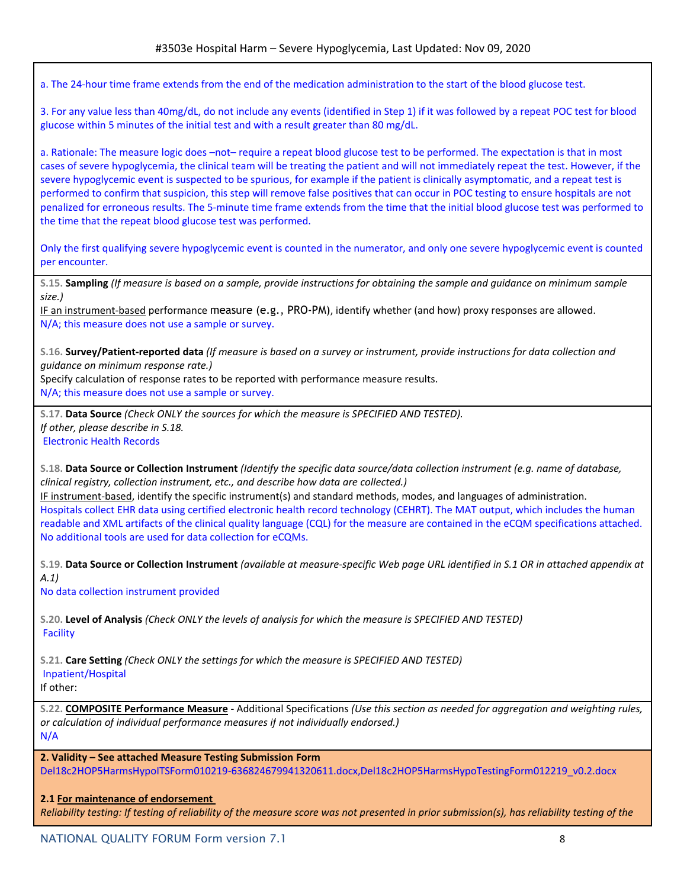a. The 24-hour time frame extends from the end of the medication administration to the start of the blood glucose test.

3. For any value less than 40mg/dL, do not include any events (identified in Step 1) if it was followed by a repeat POC test for blood glucose within 5 minutes of the initial test and with a result greater than 80 mg/dL.

a. Rationale: The measure logic does –not– require a repeat blood glucose test to be performed. The expectation is that in most cases of severe hypoglycemia, the clinical team will be treating the patient and will not immediately repeat the test. However, if the severe hypoglycemic event is suspected to be spurious, for example if the patient is clinically asymptomatic, and a repeat test is performed to confirm that suspicion, this step will remove false positives that can occur in POC testing to ensure hospitals are not penalized for erroneous results. The 5-minute time frame extends from the time that the initial blood glucose test was performed to the time that the repeat blood glucose test was performed.

Only the first qualifying severe hypoglycemic event is counted in the numerator, and only one severe hypoglycemic event is counted per encounter.

S.15. Sampling (If measure is based on a sample, provide instructions for obtaining the sample and guidance on minimum sample *size.)*

IF an instrument-based performance measure (e.g., PRO-PM), identify whether (and how) proxy responses are allowed. N/A; this measure does not use a sample or survey.

S.16. Survey/Patient-reported data (If measure is based on a survey or instrument, provide instructions for data collection and *guidance on minimum response rate.)*

Specify calculation of response rates to be reported with performance measure results. N/A; this measure does not use a sample or survey.

**S.17. Data Source** *(Check ONLY the sources for which the measure is SPECIFIED AND TESTED). If other, please describe in S.18.* Electronic Health Records

S.18. Data Source or Collection Instrument (Identify the specific data source/data collection instrument (e.g. name of database, *clinical registry, collection instrument, etc., and describe how data are collected.)*

IF instrument-based, identify the specific instrument(s) and standard methods, modes, and languages of administration. Hospitals collect EHR data using certified electronic health record technology (CEHRT). The MAT output, which includes the human readable and XML artifacts of the clinical quality language (CQL) for the measure are contained in the eCQM specifications attached. No additional tools are used for data collection for eCQMs.

S.19. Data Source or Collection Instrument (available at measure-specific Web page URL identified in S.1 OR in attached appendix at *A.1)*

No data collection instrument provided

S.20. Level of Analysis (Check ONLY the levels of analysis for which the measure is SPECIFIED AND TESTED) Facility

**S.21. Care Setting** *(Check ONLY the settings for which the measure is SPECIFIED AND TESTED)* Inpatient/Hospital

If other:

S.22. COMPOSITE Performance Measure - Additional Specifications (Use this section as needed for aggregation and weighting rules, *or calculation of individual performance measures if not individually endorsed.)* N/A

**2. Validity – See attached Measure Testing Submission Form** Del18c2HOP5HarmsHypoITSForm010219-636824679941320611.docx,Del18c2HOP5HarmsHypoTestingForm012219\_v0.2.docx

# **2.1 For maintenance of endorsement**

Reliability testing: If testing of reliability of the measure score was not presented in prior submission(s), has reliability testing of the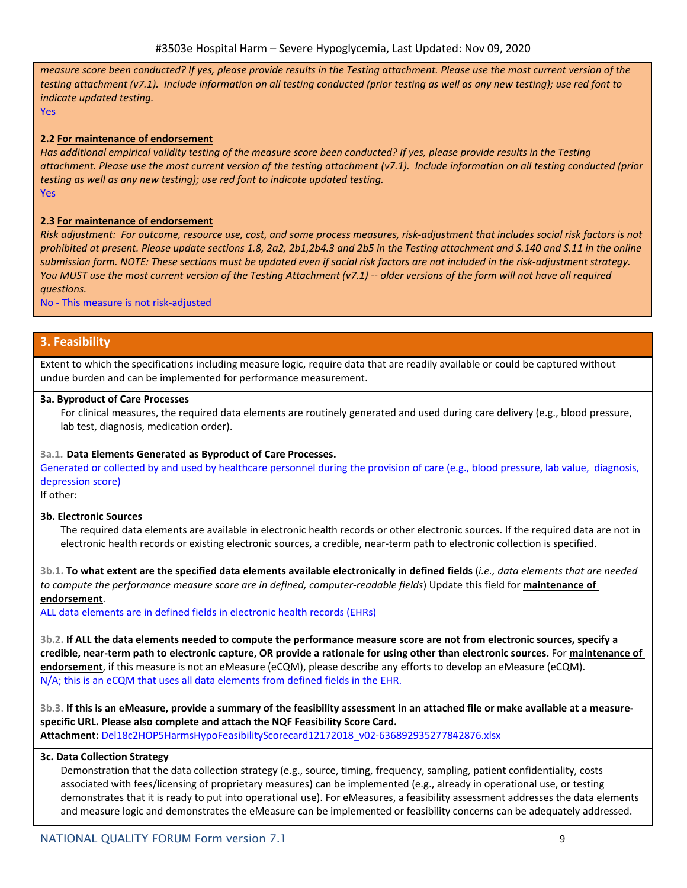measure score been conducted? If yes, please provide results in the Testing attachment. Please use the most current version of the testing attachment (v7.1). Include information on all testing conducted (prior testing as well as any new testing); use red font to *indicate updated testing.*

Yes

# **2.2 For maintenance of endorsement**

Has additional empirical validity testing of the measure score been conducted? If yes, please provide results in the Testing attachment. Please use the most current version of the testing attachment (v7.1). Include information on all testing conducted (prior *testing as well as any new testing); use red font to indicate updated testing.* Yes

### **2.3 For maintenance of endorsement**

Risk adjustment: For outcome, resource use, cost, and some process measures, risk-adjustment that includes social risk factors is not prohibited at present. Please update sections 1.8, 2a2, 2b1,2b4.3 and 2b5 in the Testing attachment and S.140 and S.11 in the online submission form. NOTE: These sections must be updated even if social risk factors are not included in the risk-adjustment strategy. You MUST use the most current version of the Testing Attachment (v7.1) -- older versions of the form will not have all required *questions.*

No - This measure is not risk-adjusted

# **3. Feasibility**

Extent to which the specifications including measure logic, require data that are readily available or could be captured without undue burden and can be implemented for performance measurement.

#### **3a. Byproduct of Care Processes**

For clinical measures, the required data elements are routinely generated and used during care delivery (e.g., blood pressure, lab test, diagnosis, medication order).

# **3a.1. Data Elements Generated as Byproduct of Care Processes.**

Generated or collected by and used by healthcare personnel during the provision of care (e.g., blood pressure, lab value, diagnosis, depression score)

If other:

### **3b. Electronic Sources**

The required data elements are available in electronic health records or other electronic sources. If the required data are not in electronic health records or existing electronic sources, a credible, near-term path to electronic collection is specified.

3b.1. To what extent are the specified data elements available electronically in defined fields (i.e., data elements that are needed *to compute the performance measure score are in defined, computer-readable fields*) Update this field for **maintenance of endorsement**.

ALL data elements are in defined fields in electronic health records (EHRs)

3b.2. If ALL the data elements needed to compute the performance measure score are not from electronic sources, specify a credible, near-term path to electronic capture, OR provide a rationale for using other than electronic sources. For maintenance of **endorsement**, if this measure is not an eMeasure (eCQM), please describe any efforts to develop an eMeasure (eCQM). N/A; this is an eCQM that uses all data elements from defined fields in the EHR.

3b.3. If this is an eMeasure, provide a summary of the feasibility assessment in an attached file or make available at a measure**specific URL. Please also complete and attach the NQF Feasibility Score Card.**

**Attachment:** Del18c2HOP5HarmsHypoFeasibilityScorecard12172018\_v02-636892935277842876.xlsx

# **3c. Data Collection Strategy**

Demonstration that the data collection strategy (e.g., source, timing, frequency, sampling, patient confidentiality, costs associated with fees/licensing of proprietary measures) can be implemented (e.g., already in operational use, or testing demonstrates that it is ready to put into operational use). For eMeasures, a feasibility assessment addresses the data elements and measure logic and demonstrates the eMeasure can be implemented or feasibility concerns can be adequately addressed.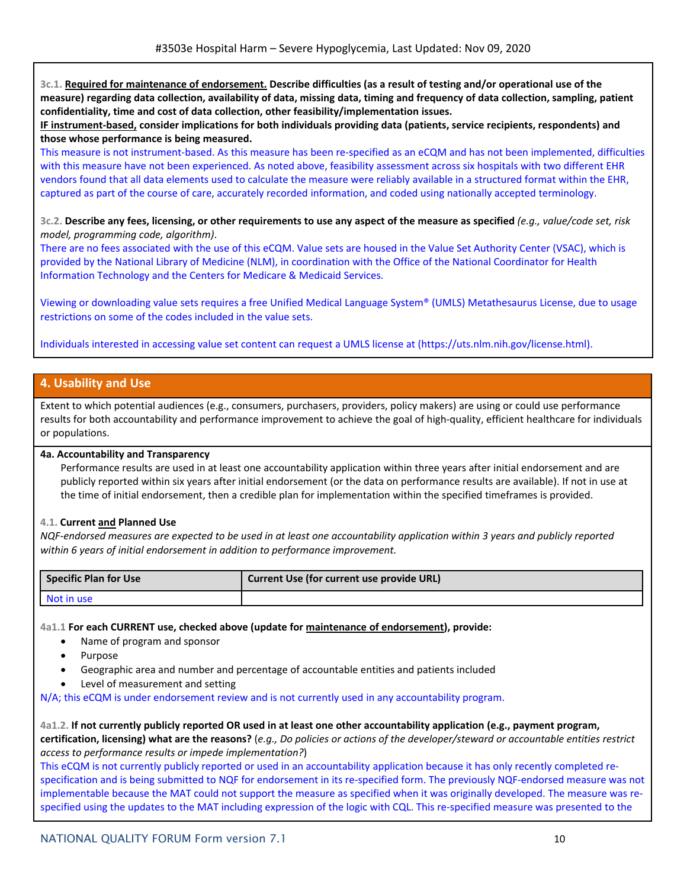3c.1. Required for maintenance of endorsement. Describe difficulties (as a result of testing and/or operational use of the measure) regarding data collection, availability of data, missing data, timing and frequency of data collection, sampling, patient **confidentiality, time and cost of data collection, other feasibility/implementation issues.**

**IF instrument-based, consider implications for both individuals providing data (patients, service recipients, respondents) and those whose performance is being measured.**

This measure is not instrument-based. As this measure has been re-specified as an eCQM and has not been implemented, difficulties with this measure have not been experienced. As noted above, feasibility assessment across six hospitals with two different EHR vendors found that all data elements used to calculate the measure were reliably available in a structured format within the EHR, captured as part of the course of care, accurately recorded information, and coded using nationally accepted terminology.

3c.2. Describe any fees, licensing, or other requirements to use any aspect of the measure as specified (e.g., value/code set, risk *model, programming code, algorithm)*.

There are no fees associated with the use of this eCQM. Value sets are housed in the Value Set Authority Center (VSAC), which is provided by the National Library of Medicine (NLM), in coordination with the Office of the National Coordinator for Health Information Technology and the Centers for Medicare & Medicaid Services.

Viewing or downloading value sets requires a free Unified Medical Language System® (UMLS) Metathesaurus License, due to usage restrictions on some of the codes included in the value sets.

Individuals interested in accessing value set content can request a UMLS license at (https://uts.nlm.nih.gov/license.html).

# **4. Usability and Use**

Extent to which potential audiences (e.g., consumers, purchasers, providers, policy makers) are using or could use performance results for both accountability and performance improvement to achieve the goal of high-quality, efficient healthcare for individuals or populations.

#### **4a. Accountability and Transparency**

Performance results are used in at least one accountability application within three years after initial endorsement and are publicly reported within six years after initial endorsement (or the data on performance results are available). If not in use at the time of initial endorsement, then a credible plan for implementation within the specified timeframes is provided.

#### **4.1. Current and Planned Use**

NQF-endorsed measures are expected to be used in at least one accountability application within 3 years and publicly reported *within 6 years of initial endorsement in addition to performance improvement.*

| <b>Specific Plan for Use</b> | Current Use (for current use provide URL) |
|------------------------------|-------------------------------------------|
| I Not in use                 |                                           |

**4a1.1 For each CURRENT use, checked above (update for maintenance of endorsement), provide:**

- Name of program and sponsor
- Purpose
- Geographic area and number and percentage of accountable entities and patients included
- Level of measurement and setting

N/A; this eCQM is under endorsement review and is not currently used in any accountability program.

4a1.2. If not currently publicly reported OR used in at least one other accountability application (e.g., payment program, certification, licensing) what are the reasons? (e.g., Do policies or actions of the developer/steward or accountable entities restrict *access to performance results or impede implementation?*)

This eCQM is not currently publicly reported or used in an accountability application because it has only recently completed respecification and is being submitted to NQF for endorsement in its re-specified form. The previously NQF-endorsed measure was not implementable because the MAT could not support the measure as specified when it was originally developed. The measure was respecified using the updates to the MAT including expression of the logic with CQL. This re-specified measure was presented to the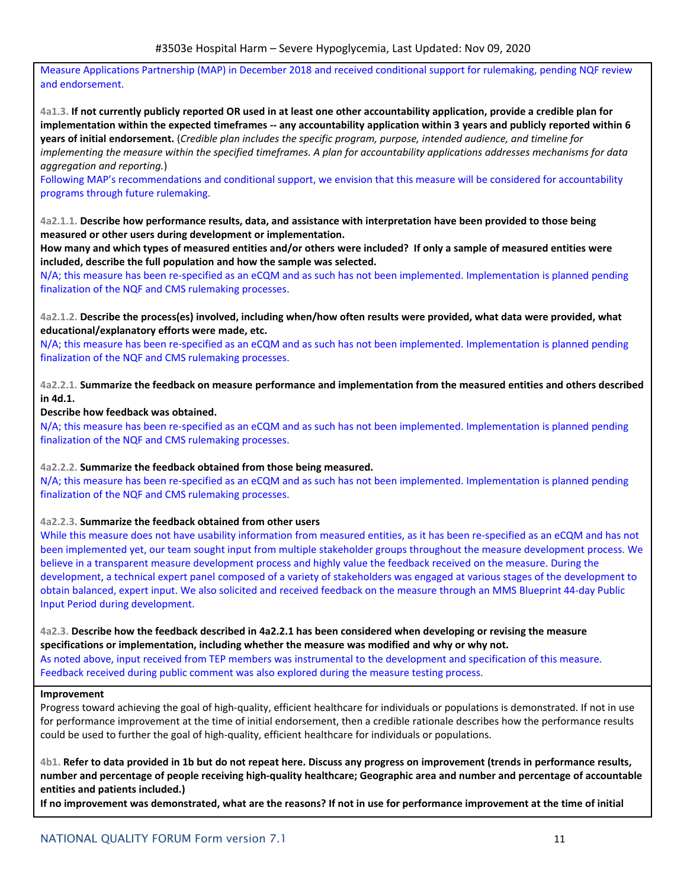Measure Applications Partnership (MAP) in December 2018 and received conditional support for rulemaking, pending NQF review and endorsement.

4a1.3. If not currently publicly reported OR used in at least one other accountability application, provide a credible plan for implementation within the expected timeframes -- any accountability application within 3 years and publicly reported within 6 years of initial endorsement. (Credible plan includes the specific program, purpose, intended audience, and timeline for implementing the measure within the specified timeframes. A plan for accountability applications addresses mechanisms for data *aggregation and reporting.*)

Following MAP's recommendations and conditional support, we envision that this measure will be considered for accountability programs through future rulemaking.

4a2.1.1. Describe how performance results, data, and assistance with interpretation have been provided to those being **measured or other users during development or implementation.**

How many and which types of measured entities and/or others were included? If only a sample of measured entities were **included, describe the full population and how the sample was selected.**

N/A; this measure has been re-specified as an eCQM and as such has not been implemented. Implementation is planned pending finalization of the NQF and CMS rulemaking processes.

4a2.1.2. Describe the process(es) involved, including when/how often results were provided, what data were provided, what **educational/explanatory efforts were made, etc.**

N/A; this measure has been re-specified as an eCQM and as such has not been implemented. Implementation is planned pending finalization of the NQF and CMS rulemaking processes.

4a2.2.1. Summarize the feedback on measure performance and implementation from the measured entities and others described **in 4d.1.**

# **Describe how feedback was obtained.**

N/A; this measure has been re-specified as an eCQM and as such has not been implemented. Implementation is planned pending finalization of the NQF and CMS rulemaking processes.

#### **4a2.2.2. Summarize the feedback obtained from those being measured.**

N/A; this measure has been re-specified as an eCQM and as such has not been implemented. Implementation is planned pending finalization of the NQF and CMS rulemaking processes.

#### **4a2.2.3. Summarize the feedback obtained from other users**

While this measure does not have usability information from measured entities, as it has been re-specified as an eCQM and has not been implemented yet, our team sought input from multiple stakeholder groups throughout the measure development process. We believe in a transparent measure development process and highly value the feedback received on the measure. During the development, a technical expert panel composed of a variety of stakeholders was engaged at various stages of the development to obtain balanced, expert input. We also solicited and received feedback on the measure through an MMS Blueprint 44-day Public Input Period during development.

4a2.3. Describe how the feedback described in 4a2.2.1 has been considered when developing or revising the measure **specifications or implementation, including whether the measure was modified and why or why not.** As noted above, input received from TEP members was instrumental to the development and specification of this measure. Feedback received during public comment was also explored during the measure testing process.

#### **Improvement**

Progress toward achieving the goal of high-quality, efficient healthcare for individuals or populations is demonstrated. If not in use for performance improvement at the time of initial endorsement, then a credible rationale describes how the performance results could be used to further the goal of high-quality, efficient healthcare for individuals or populations.

4b1. Refer to data provided in 1b but do not repeat here. Discuss any progress on improvement (trends in performance results, number and percentage of people receiving high-quality healthcare; Geographic area and number and percentage of accountable **entities and patients included.)**

If no improvement was demonstrated, what are the reasons? If not in use for performance improvement at the time of initial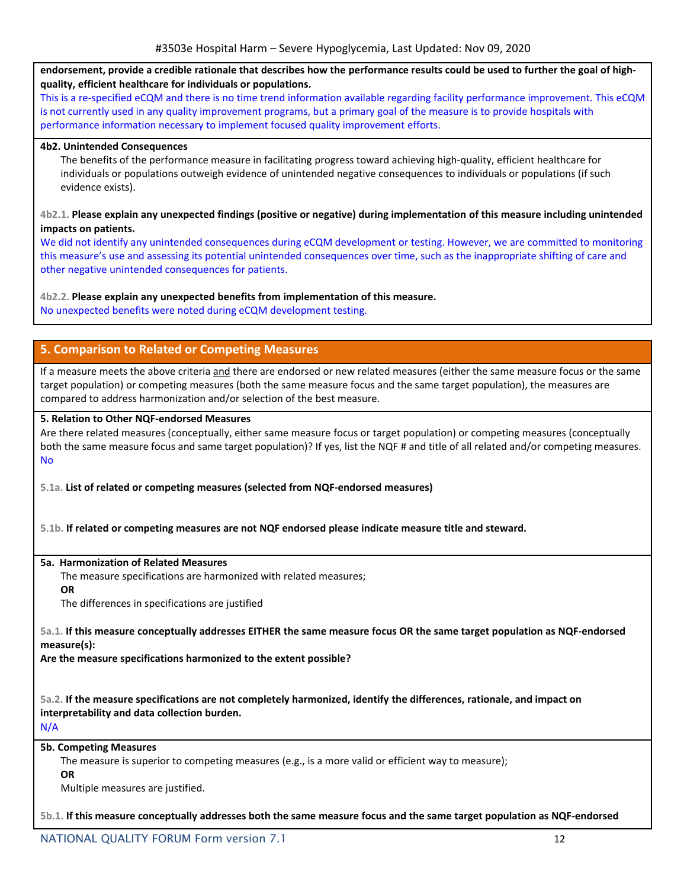endorsement, provide a credible rationale that describes how the performance results could be used to further the goal of high**quality, efficient healthcare for individuals or populations.**

This is a re-specified eCQM and there is no time trend information available regarding facility performance improvement. This eCQM is not currently used in any quality improvement programs, but a primary goal of the measure is to provide hospitals with performance information necessary to implement focused quality improvement efforts.

### **4b2. Unintended Consequences**

The benefits of the performance measure in facilitating progress toward achieving high-quality, efficient healthcare for individuals or populations outweigh evidence of unintended negative consequences to individuals or populations (if such evidence exists).

### 4b2.1. Please explain any unexpected findings (positive or negative) during implementation of this measure including unintended **impacts on patients.**

We did not identify any unintended consequences during eCQM development or testing. However, we are committed to monitoring this measure's use and assessing its potential unintended consequences over time, such as the inappropriate shifting of care and other negative unintended consequences for patients.

# **4b2.2. Please explain any unexpected benefits from implementation of this measure.**

No unexpected benefits were noted during eCQM development testing.

# **5. Comparison to Related or Competing Measures**

If a measure meets the above criteria and there are endorsed or new related measures (either the same measure focus or the same target population) or competing measures (both the same measure focus and the same target population), the measures are compared to address harmonization and/or selection of the best measure.

# **5. Relation to Other NQF-endorsed Measures**

Are there related measures (conceptually, either same measure focus or target population) or competing measures (conceptually both the same measure focus and same target population)? If yes, list the NQF # and title of all related and/or competing measures. No

**5.1a. List of related or competing measures (selected from NQF-endorsed measures)**

**5.1b. If related or competing measures are not NQF endorsed please indicate measure title and steward.**

#### **5a. Harmonization of Related Measures**

The measure specifications are harmonized with related measures;

**OR**

The differences in specifications are justified

5a.1. If this measure conceptually addresses EITHER the same measure focus OR the same target population as NQF-endorsed **measure(s):**

**Are the measure specifications harmonized to the extent possible?**

5a.2. If the measure specifications are not completely harmonized, identify the differences, rationale, and impact on **interpretability and data collection burden.**

N/A

### **5b. Competing Measures**

The measure is superior to competing measures (e.g., is a more valid or efficient way to measure);

**OR**

Multiple measures are justified.

5b.1. If this measure conceptually addresses both the same measure focus and the same target population as NQF-endorsed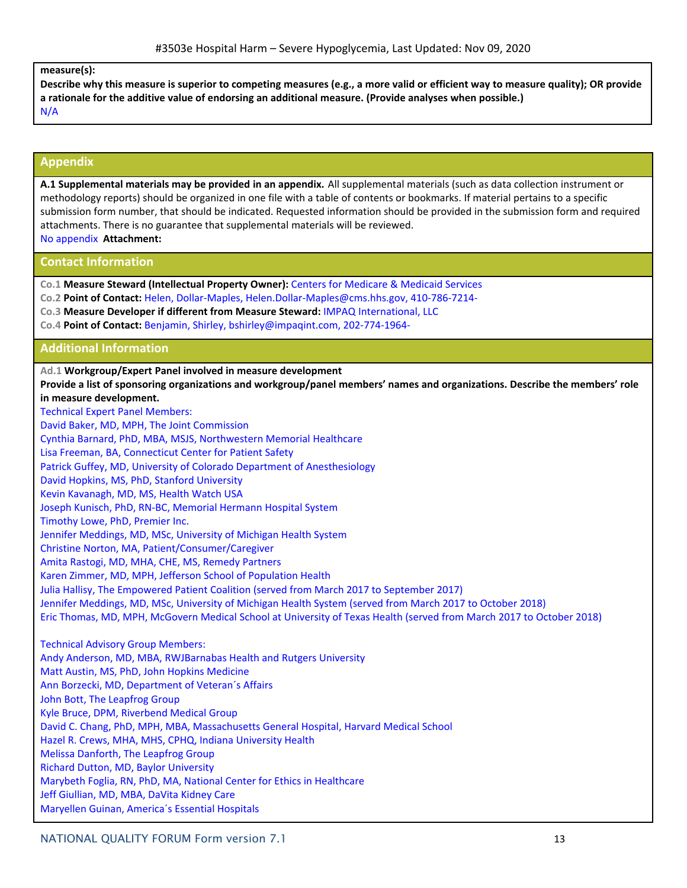#### **measure(s):**

Describe why this measure is superior to competing measures (e.g., a more valid or efficient way to measure quality); OR provide **a rationale for the additive value of endorsing an additional measure. (Provide analyses when possible.)** N/A

# **Appendix**

**A.1 Supplemental materials may be provided in an appendix.** All supplemental materials (such as data collection instrument or methodology reports) should be organized in one file with a table of contents or bookmarks. If material pertains to a specific submission form number, that should be indicated. Requested information should be provided in the submission form and required attachments. There is no guarantee that supplemental materials will be reviewed. No appendix **Attachment:**

# **Contact Information**

- **Co.1 Measure Steward (Intellectual Property Owner):** Centers for Medicare & Medicaid Services
- **Co.2 Point of Contact:** Helen, Dollar-Maples, Helen.Dollar-Maples@cms.hhs.gov, 410-786-7214-
- **Co.3 Measure Developer if different from Measure Steward:** IMPAQ International, LLC
- **Co.4 Point of Contact:** Benjamin, Shirley, bshirley@impaqint.com, 202-774-1964-

### **Additional Information**

# **Ad.1 Workgroup/Expert Panel involved in measure development**

Provide a list of sponsoring organizations and workgroup/panel members' names and organizations. Describe the members' role **in measure development.**

Technical Expert Panel Members:

David Baker, MD, MPH, The Joint Commission Cynthia Barnard, PhD, MBA, MSJS, Northwestern Memorial Healthcare Lisa Freeman, BA, Connecticut Center for Patient Safety Patrick Guffey, MD, University of Colorado Department of Anesthesiology David Hopkins, MS, PhD, Stanford University Kevin Kavanagh, MD, MS, Health Watch USA Joseph Kunisch, PhD, RN-BC, Memorial Hermann Hospital System Timothy Lowe, PhD, Premier Inc. Jennifer Meddings, MD, MSc, University of Michigan Health System Christine Norton, MA, Patient/Consumer/Caregiver Amita Rastogi, MD, MHA, CHE, MS, Remedy Partners Karen Zimmer, MD, MPH, Jefferson School of Population Health Julia Hallisy, The Empowered Patient Coalition (served from March 2017 to September 2017) Jennifer Meddings, MD, MSc, University of Michigan Health System (served from March 2017 to October 2018) Eric Thomas, MD, MPH, McGovern Medical School at University of Texas Health (served from March 2017 to October 2018) Technical Advisory Group Members: Andy Anderson, MD, MBA, RWJBarnabas Health and Rutgers University Matt Austin, MS, PhD, John Hopkins Medicine Ann Borzecki, MD, Department of Veteran´s Affairs John Bott, The Leapfrog Group Kyle Bruce, DPM, Riverbend Medical Group David C. Chang, PhD, MPH, MBA, Massachusetts General Hospital, Harvard Medical School Hazel R. Crews, MHA, MHS, CPHQ, Indiana University Health Melissa Danforth, The Leapfrog Group Richard Dutton, MD, Baylor University Marybeth Foglia, RN, PhD, MA, National Center for Ethics in Healthcare

- Jeff Giullian, MD, MBA, DaVita Kidney Care
- Maryellen Guinan, America´s Essential Hospitals